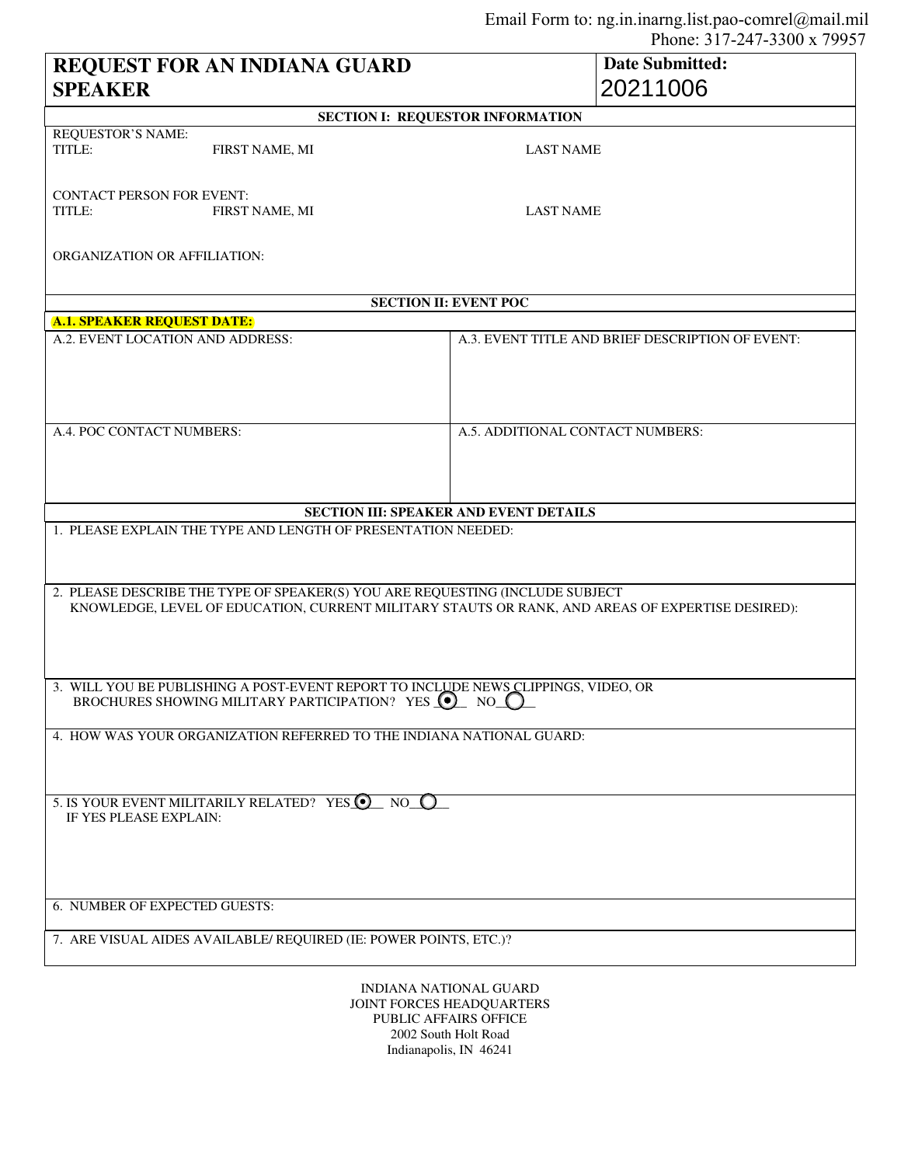| REQUEST FOR AN INDIANA GUARD                                                                                                                                                                                                                       |                |                                                  | <b>Date Submitted:</b> |  |
|----------------------------------------------------------------------------------------------------------------------------------------------------------------------------------------------------------------------------------------------------|----------------|--------------------------------------------------|------------------------|--|
| <b>SPEAKER</b>                                                                                                                                                                                                                                     |                |                                                  | 20211006               |  |
| <b>SECTION I: REQUESTOR INFORMATION</b>                                                                                                                                                                                                            |                |                                                  |                        |  |
| <b>REQUESTOR'S NAME:</b><br>TITLE:                                                                                                                                                                                                                 | FIRST NAME, MI | <b>LAST NAME</b>                                 |                        |  |
| <b>CONTACT PERSON FOR EVENT:</b><br>TITLE:                                                                                                                                                                                                         | FIRST NAME, MI | <b>LAST NAME</b>                                 |                        |  |
| ORGANIZATION OR AFFILIATION:                                                                                                                                                                                                                       |                |                                                  |                        |  |
| <b>SECTION II: EVENT POC</b>                                                                                                                                                                                                                       |                |                                                  |                        |  |
| <b>A.1. SPEAKER REQUEST DATE:</b>                                                                                                                                                                                                                  |                |                                                  |                        |  |
| A.2. EVENT LOCATION AND ADDRESS:                                                                                                                                                                                                                   |                | A.3. EVENT TITLE AND BRIEF DESCRIPTION OF EVENT: |                        |  |
| A.4. POC CONTACT NUMBERS:                                                                                                                                                                                                                          |                | A.5. ADDITIONAL CONTACT NUMBERS:                 |                        |  |
| <b>SECTION III: SPEAKER AND EVENT DETAILS</b>                                                                                                                                                                                                      |                |                                                  |                        |  |
| 1. PLEASE EXPLAIN THE TYPE AND LENGTH OF PRESENTATION NEEDED:<br>2. PLEASE DESCRIBE THE TYPE OF SPEAKER(S) YOU ARE REQUESTING (INCLUDE SUBJECT<br>KNOWLEDGE, LEVEL OF EDUCATION, CURRENT MILITARY STAUTS OR RANK, AND AREAS OF EXPERTISE DESIRED): |                |                                                  |                        |  |
| 3. WILL YOU BE PUBLISHING A POST-EVENT REPORT TO INCLUDE NEWS CLIPPINGS, VIDEO, OR<br>BROCHURES SHOWING MILITARY PARTICIPATION? YES (.)<br>$NO$ $O$                                                                                                |                |                                                  |                        |  |
| 4. HOW WAS YOUR ORGANIZATION REFERRED TO THE INDIANA NATIONAL GUARD:                                                                                                                                                                               |                |                                                  |                        |  |
| 5. IS YOUR EVENT MILITARILY RELATED? YES © NO C<br>IF YES PLEASE EXPLAIN:                                                                                                                                                                          |                |                                                  |                        |  |
| 6. NUMBER OF EXPECTED GUESTS:                                                                                                                                                                                                                      |                |                                                  |                        |  |
| 7. ARE VISUAL AIDES AVAILABLE/ REQUIRED (IE: POWER POINTS, ETC.)?                                                                                                                                                                                  |                |                                                  |                        |  |
| INDIANA NATIONAL GUARD<br>JOINT FORCES HEADQUARTERS<br>PUBLIC AFFAIRS OFFICE                                                                                                                                                                       |                |                                                  |                        |  |

PUBLIC AFFAIRS OFFICE 2002 South Holt Road Indianapolis, IN 46241